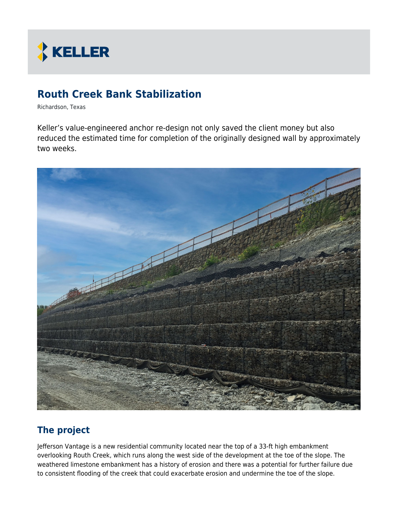

# **Routh Creek Bank Stabilization**

Richardson, Texas

Keller's value-engineered anchor re-design not only saved the client money but also reduced the estimated time for completion of the originally designed wall by approximately two weeks.



## **The project**

Jefferson Vantage is a new residential community located near the top of a 33-ft high embankment overlooking Routh Creek, which runs along the west side of the development at the toe of the slope. The weathered limestone embankment has a history of erosion and there was a potential for further failure due to consistent flooding of the creek that could exacerbate erosion and undermine the toe of the slope.